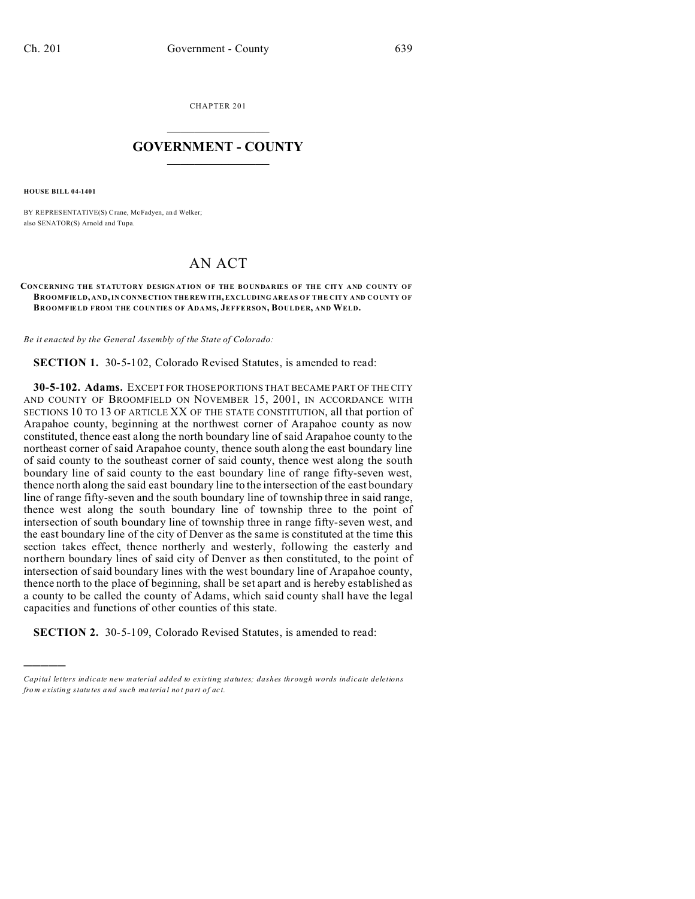CHAPTER 201  $\overline{\phantom{a}}$  , where  $\overline{\phantom{a}}$ 

## **GOVERNMENT - COUNTY**  $\_$

**HOUSE BILL 04-1401**

)))))

BY REPRESENTATIVE(S) Crane, McFadyen, an d Welker; also SENATOR(S) Arnold and Tupa.

## AN ACT

## **CONCERNING THE STATUTORY DESIGN ATION OF THE BOUNDARIES OF THE CITY AND COUNTY OF BROOMFIELD, AND, IN CONNE CTION THE REW ITH, EXCLUDING AREAS OF THE CITY AND COUNTY OF BROOMFIELD FROM THE COUNTIES OF ADAMS, JEFFERSON, BOULDER, AND WELD.**

*Be it enacted by the General Assembly of the State of Colorado:*

**SECTION 1.** 30-5-102, Colorado Revised Statutes, is amended to read:

**30-5-102. Adams.** EXCEPT FOR THOSE PORTIONS THAT BECAME PART OF THE CITY AND COUNTY OF BROOMFIELD ON NOVEMBER 15, 2001, IN ACCORDANCE WITH SECTIONS 10 TO 13 OF ARTICLE XX OF THE STATE CONSTITUTION, all that portion of Arapahoe county, beginning at the northwest corner of Arapahoe county as now constituted, thence east along the north boundary line of said Arapahoe county to the northeast corner of said Arapahoe county, thence south along the east boundary line of said county to the southeast corner of said county, thence west along the south boundary line of said county to the east boundary line of range fifty-seven west, thence north along the said east boundary line to the intersection of the east boundary line of range fifty-seven and the south boundary line of township three in said range, thence west along the south boundary line of township three to the point of intersection of south boundary line of township three in range fifty-seven west, and the east boundary line of the city of Denver as the same is constituted at the time this section takes effect, thence northerly and westerly, following the easterly and northern boundary lines of said city of Denver as then constituted, to the point of intersection of said boundary lines with the west boundary line of Arapahoe county, thence north to the place of beginning, shall be set apart and is hereby established as a county to be called the county of Adams, which said county shall have the legal capacities and functions of other counties of this state.

**SECTION 2.** 30-5-109, Colorado Revised Statutes, is amended to read:

*Capital letters indicate new material added to existing statutes; dashes through words indicate deletions from e xistin g statu tes a nd such ma teria l no t pa rt of ac t.*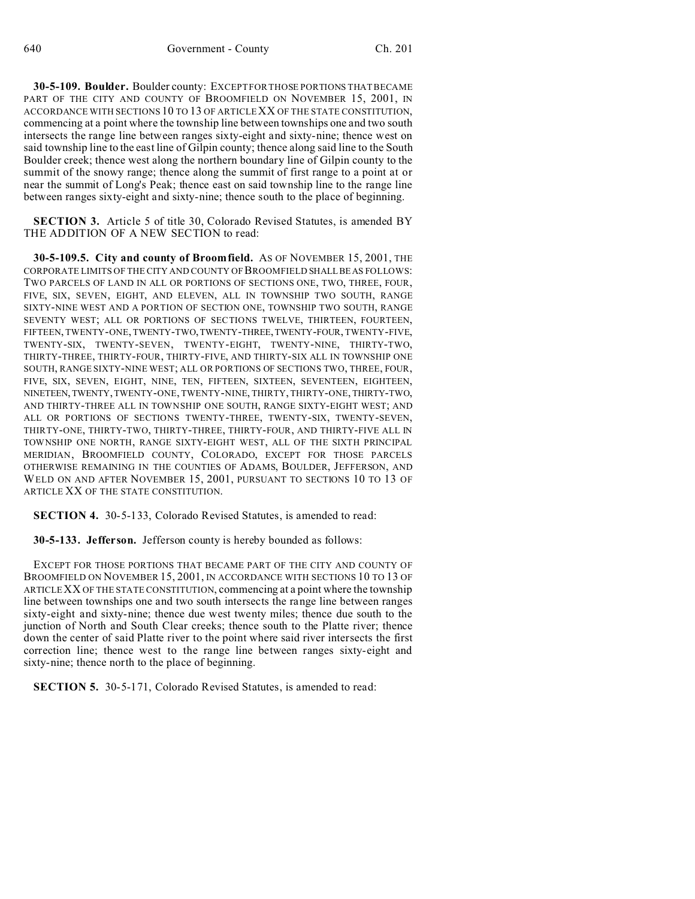**30-5-109. Boulder.** Boulder county: EXCEPT FOR THOSE PORTIONS THAT BECAME PART OF THE CITY AND COUNTY OF BROOMFIELD ON NOVEMBER 15, 2001, IN ACCORDANCE WITH SECTIONS 10 TO 13 OF ARTICLE XX OF THE STATE CONSTITUTION, commencing at a point where the township line between townships one and two south intersects the range line between ranges sixty-eight and sixty-nine; thence west on said township line to the east line of Gilpin county; thence along said line to the South Boulder creek; thence west along the northern boundary line of Gilpin county to the summit of the snowy range; thence along the summit of first range to a point at or near the summit of Long's Peak; thence east on said township line to the range line between ranges sixty-eight and sixty-nine; thence south to the place of beginning.

**SECTION 3.** Article 5 of title 30, Colorado Revised Statutes, is amended BY THE ADDITION OF A NEW SECTION to read:

**30-5-109.5. City and county of Broomfield.** AS OF NOVEMBER 15, 2001, THE CORPORATE LIMITS OF THE CITY AND COUNTY OF BROOMFIELD SHALLBEAS FOLLOWS: TWO PARCELS OF LAND IN ALL OR PORTIONS OF SECTIONS ONE, TWO, THREE, FOUR, FIVE, SIX, SEVEN, EIGHT, AND ELEVEN, ALL IN TOWNSHIP TWO SOUTH, RANGE SIXTY-NINE WEST AND A PORTION OF SECTION ONE, TOWNSHIP TWO SOUTH, RANGE SEVENTY WEST; ALL OR PORTIONS OF SECTIONS TWELVE, THIRTEEN, FOURTEEN, FIFTEEN, TWENTY-ONE, TWENTY-TWO,TWENTY-THREE,TWENTY-FOUR, TWENTY-FIVE, TWENTY-SIX, TWENTY-SEVEN, TWENTY-EIGHT, TWENTY-NINE, THIRTY-TWO, THIRTY-THREE, THIRTY-FOUR, THIRTY-FIVE, AND THIRTY-SIX ALL IN TOWNSHIP ONE SOUTH, RANGE SIXTY-NINE WEST; ALL OR PORTIONS OF SECTIONS TWO, THREE, FOUR, FIVE, SIX, SEVEN, EIGHT, NINE, TEN, FIFTEEN, SIXTEEN, SEVENTEEN, EIGHTEEN, NINETEEN,TWENTY,TWENTY-ONE, TWENTY-NINE, THIRTY, THIRTY-ONE, THIRTY-TWO, AND THIRTY-THREE ALL IN TOWNSHIP ONE SOUTH, RANGE SIXTY-EIGHT WEST; AND ALL OR PORTIONS OF SECTIONS TWENTY-THREE, TWENTY-SIX, TWENTY-SEVEN, THIRTY-ONE, THIRTY-TWO, THIRTY-THREE, THIRTY-FOUR, AND THIRTY-FIVE ALL IN TOWNSHIP ONE NORTH, RANGE SIXTY-EIGHT WEST, ALL OF THE SIXTH PRINCIPAL MERIDIAN, BROOMFIELD COUNTY, COLORADO, EXCEPT FOR THOSE PARCELS OTHERWISE REMAINING IN THE COUNTIES OF ADAMS, BOULDER, JEFFERSON, AND WELD ON AND AFTER NOVEMBER 15, 2001, PURSUANT TO SECTIONS 10 TO 13 OF ARTICLE XX OF THE STATE CONSTITUTION.

**SECTION 4.** 30-5-133, Colorado Revised Statutes, is amended to read:

**30-5-133. Jefferson.** Jefferson county is hereby bounded as follows:

EXCEPT FOR THOSE PORTIONS THAT BECAME PART OF THE CITY AND COUNTY OF BROOMFIELD ON NOVEMBER 15, 2001, IN ACCORDANCE WITH SECTIONS 10 TO 13 OF ARTICLEXX OF THE STATE CONSTITUTION, commencing at a point where the township line between townships one and two south intersects the range line between ranges sixty-eight and sixty-nine; thence due west twenty miles; thence due south to the junction of North and South Clear creeks; thence south to the Platte river; thence down the center of said Platte river to the point where said river intersects the first correction line; thence west to the range line between ranges sixty-eight and sixty-nine; thence north to the place of beginning.

**SECTION 5.** 30-5-171, Colorado Revised Statutes, is amended to read: